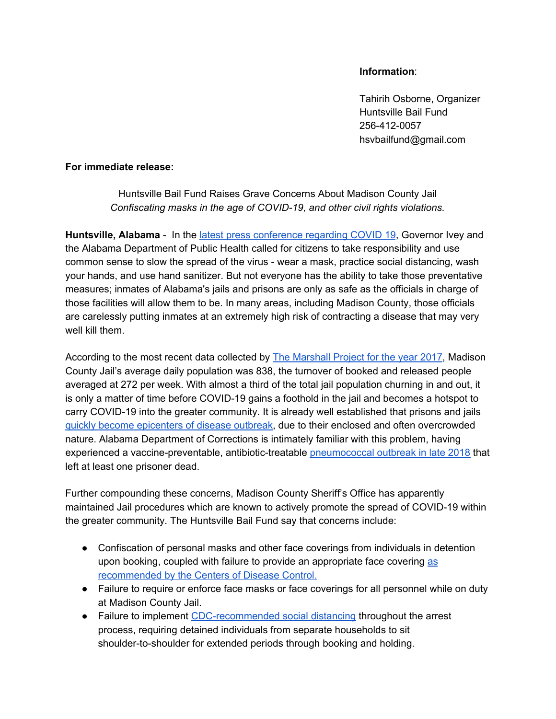## **Information**:

Tahirih Osborne, Organizer Huntsville Bail Fund 256-412-0057 hsvbailfund@gmail.com

## **For immediate release:**

Huntsville Bail Fund Raises Grave Concerns About Madison County Jail *Confiscating masks in the age of COVID-19, and other civil rights violations.*

Huntsville, Alabama - In the latest press [conference](https://www.al.com/news/2020/06/gov-kay-ivey-offering-coronavirus-update-today.html) regarding COVID 19, Governor Ivey and the Alabama Department of Public Health called for citizens to take responsibility and use common sense to slow the spread of the virus - wear a mask, practice social distancing, wash your hands, and use hand sanitizer. But not everyone has the ability to take those preventative measures; inmates of Alabama's jails and prisons are only as safe as the officials in charge of those facilities will allow them to be. In many areas, including Madison County, those officials are carelessly putting inmates at an extremely high risk of contracting a disease that may very well kill them.

According to the most recent data collected by The [Marshall](https://www.themarshallproject.org/2020/03/31/why-jails-are-so-important-in-the-fight-against-coronavirus) Project for the year 2017, Madison County Jail's average daily population was 838, the turnover of booked and released people averaged at 272 per week. With almost a third of the total jail population churning in and out, it is only a matter of time before COVID-19 gains a foothold in the jail and becomes a hotspot to carry COVID-19 into the greater community. It is already well established that prisons and jails quickly become [epicenters](https://journals.plos.org/plosmedicine/article?id=10.1371/journal.pmed.1000381) of disease outbreak, due to their enclosed and often overcrowded nature. Alabama Department of Corrections is intimately familiar with this problem, having experienced a vaccine-preventable, antibiotic-treatable [pneumococcal](https://apnews.com/210294ce7bc744bbac6530444707b77d/Illness-outbreak-reported-at-state-prison,-1-inmate-dead) outbreak in late 2018 that left at least one prisoner dead.

Further compounding these concerns, Madison County Sheriff's Office has apparently maintained Jail procedures which are known to actively promote the spread of COVID-19 within the greater community. The Huntsville Bail Fund say that concerns include:

- Confiscation of personal masks and other face coverings from individuals in detention upon booking, coupled with failure to provide an appropriate face covering [as](https://www.cdc.gov/coronavirus/2019-ncov/prevent-getting-sick/cloth-face-cover-guidance.html) [recommended](https://www.cdc.gov/coronavirus/2019-ncov/prevent-getting-sick/cloth-face-cover-guidance.html) by the Centers of Disease Control.
- Failure to require or enforce face masks or face coverings for all personnel while on duty at Madison County Jail.
- Failure to implement [CDC-recommended](https://www.cdc.gov/coronavirus/2019-ncov/prevent-getting-sick/social-distancing.html) social distancing throughout the arrest process, requiring detained individuals from separate households to sit shoulder-to-shoulder for extended periods through booking and holding.